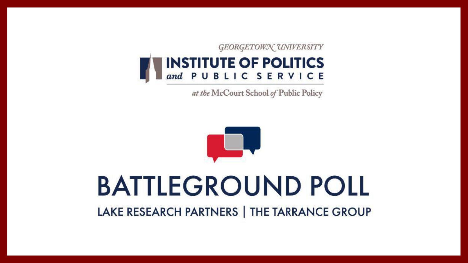

## **BATTLEGROUND POLL** LAKE RESEARCH PARTNERS | THE TARRANCE GROUP

**INSTITUTE OF POLITICS** and PUBLIC SERVICE

GEORGETOWN UNIVERSITY

at the McCourt School of Public Policy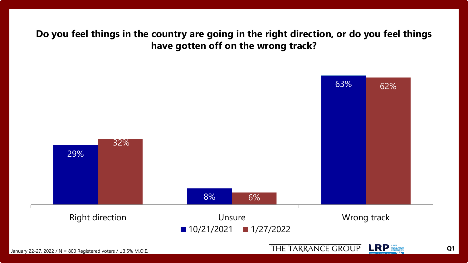## **Do you feel things in the country are going in the right direction, or do you feel things have gotten off on the wrong track?**



THE TARRANCE GROUP LRP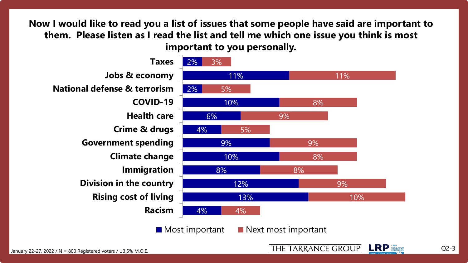**Now I would like to read you a list of issues that some people have said are important to them. Please listen as I read the list and tell me which one issue you think is most important to you personally.** 



THE TARRANCE GROUP **LRP** RESEARCH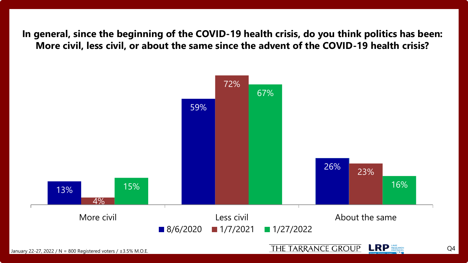**In general, since the beginning of the COVID-19 health crisis, do you think politics has been: More civil, less civil, or about the same since the advent of the COVID-19 health crisis?**



**LRP** RESEARCH THE TARRANCE GROUP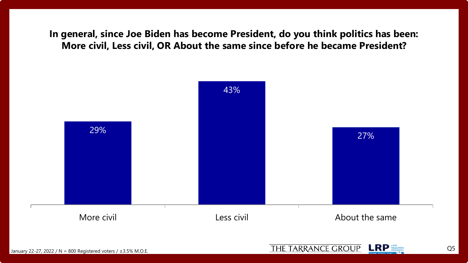**In general, since Joe Biden has become President, do you think politics has been: More civil, Less civil, OR About the same since before he became President?**





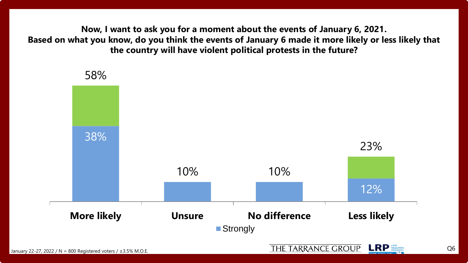**Now, I want to ask you for a moment about the events of January 6, 2021. Based on what you know, do you think the events of January 6 made it more likely or less likely that the country will have violent political protests in the future?** 



Q6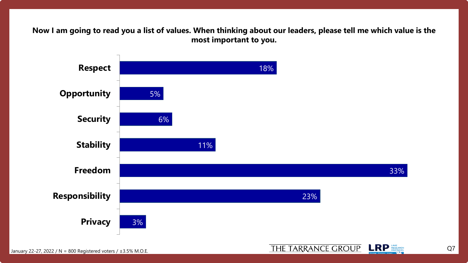**Now I am going to read you a list of values. When thinking about our leaders, please tell me which value is the most important to you.** 



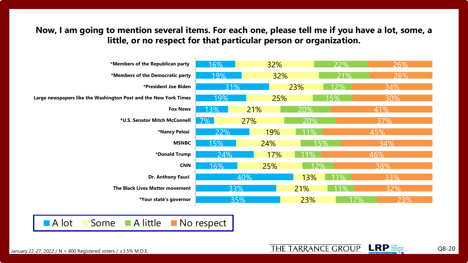**Now, I am going to mention several items. For each one, please tell me if you have a lot, some, a little, or no respect for that particular person or organization.** 



January 22-27, 2022 / N = 800 Registered voters /  $\pm$ 3.5% M.O.E.

Q8-20

**LRP** RESEARCH

THE TARRANCE GROUP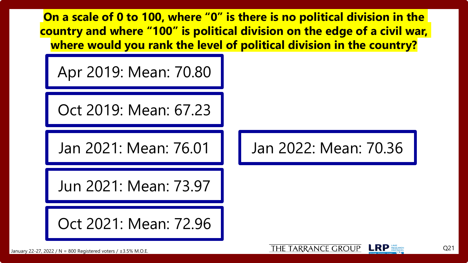**On a scale of 0 to 100, where "0" is there is no political division in the country and where "100" is political division on the edge of a civil war, where would you rank the level of political division in the country?**

Apr 2019: Mean: 70.80

Oct 2019: Mean: 67.23

Jan 2021: Mean: 76.01

Jun 2021: Mean: 73.97

Oct 2021: Mean: 72.96

Jan 2022: Mean: 70.36



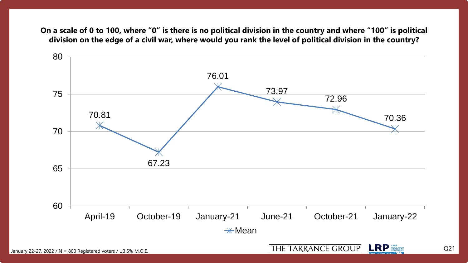**On a scale of 0 to 100, where "0" is there is no political division in the country and where "100" is political division on the edge of a civil war, where would you rank the level of political division in the country?**



Q21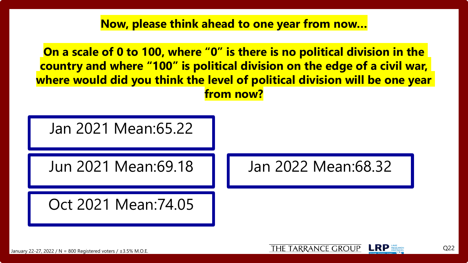**Now, please think ahead to one year from now…**

**On a scale of 0 to 100, where "0" is there is no political division in the country and where "100" is political division on the edge of a civil war, where would did you think the level of political division will be one year from now?**



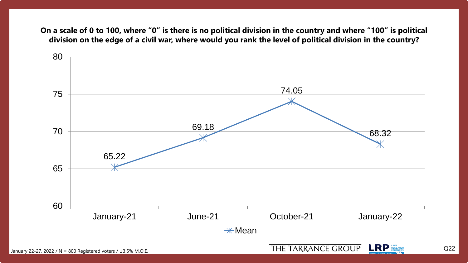**On a scale of 0 to 100, where "0" is there is no political division in the country and where "100" is political division on the edge of a civil war, where would you rank the level of political division in the country?**